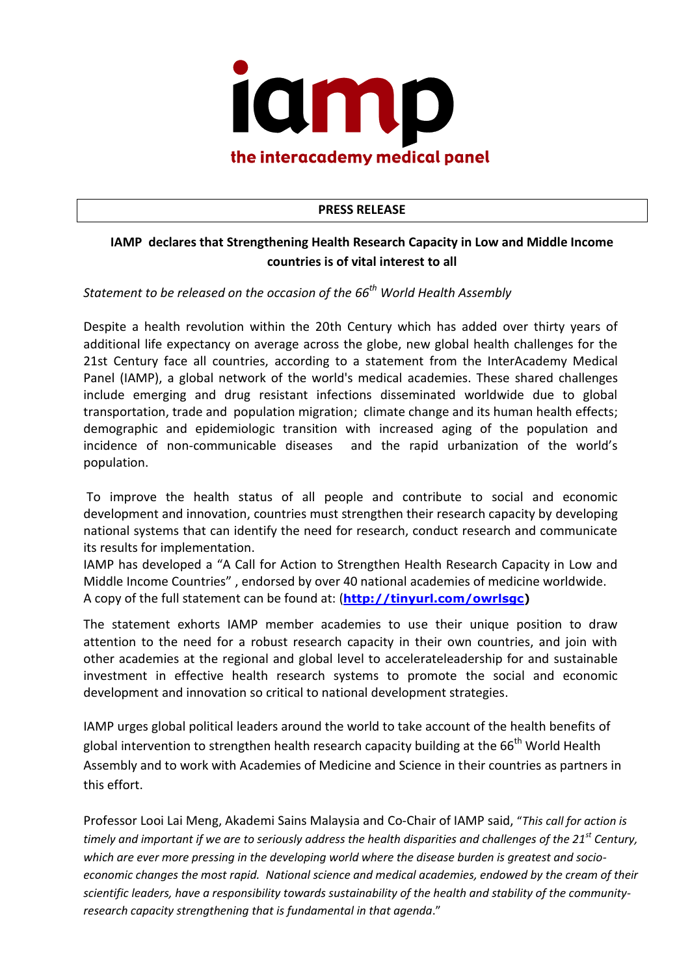

## **PRESS RELEASE**

## **IAMP declares that Strengthening Health Research Capacity in Low and Middle Income countries is of vital interest to all**

*Statement to be released on the occasion of the 66th World Health Assembly*

Despite a health revolution within the 20th Century which has added over thirty years of additional life expectancy on average across the globe, new global health challenges for the 21st Century face all countries, according to a statement from the InterAcademy Medical Panel (IAMP), a global network of the world's medical academies. These shared challenges include emerging and drug resistant infections disseminated worldwide due to global transportation, trade and population migration; climate change and its human health effects; demographic and epidemiologic transition with increased aging of the population and incidence of non-communicable diseases and the rapid urbanization of the world's population.

To improve the health status of all people and contribute to social and economic development and innovation, countries must strengthen their research capacity by developing national systems that can identify the need for research, conduct research and communicate its results for implementation.

IAMP has developed a "A Call for Action to Strengthen Health Research Capacity in Low and Middle Income Countries" , endorsed by over 40 national academies of medicine worldwide. A copy of the full statement can be found at: (**[http://tinyurl.com/owrlsgc\)](http://tinyurl.com/owrlsgc)**

The statement exhorts IAMP member academies to use their unique position to draw attention to the need for a robust research capacity in their own countries, and join with other academies at the regional and global level to accelerateleadership for and sustainable investment in effective health research systems to promote the social and economic development and innovation so critical to national development strategies.

IAMP urges global political leaders around the world to take account of the health benefits of global intervention to strengthen health research capacity building at the 66<sup>th</sup> World Health Assembly and to work with Academies of Medicine and Science in their countries as partners in this effort.

Professor Looi Lai Meng, Akademi Sains Malaysia and Co-Chair of IAMP said, "*This call for action is timely and important if we are to seriously address the health disparities and challenges of the 21st Century, which are ever more pressing in the developing world where the disease burden is greatest and socioeconomic changes the most rapid. National science and medical academies, endowed by the cream of their scientific leaders, have a responsibility towards sustainability of the health and stability of the communityresearch capacity strengthening that is fundamental in that agenda*."